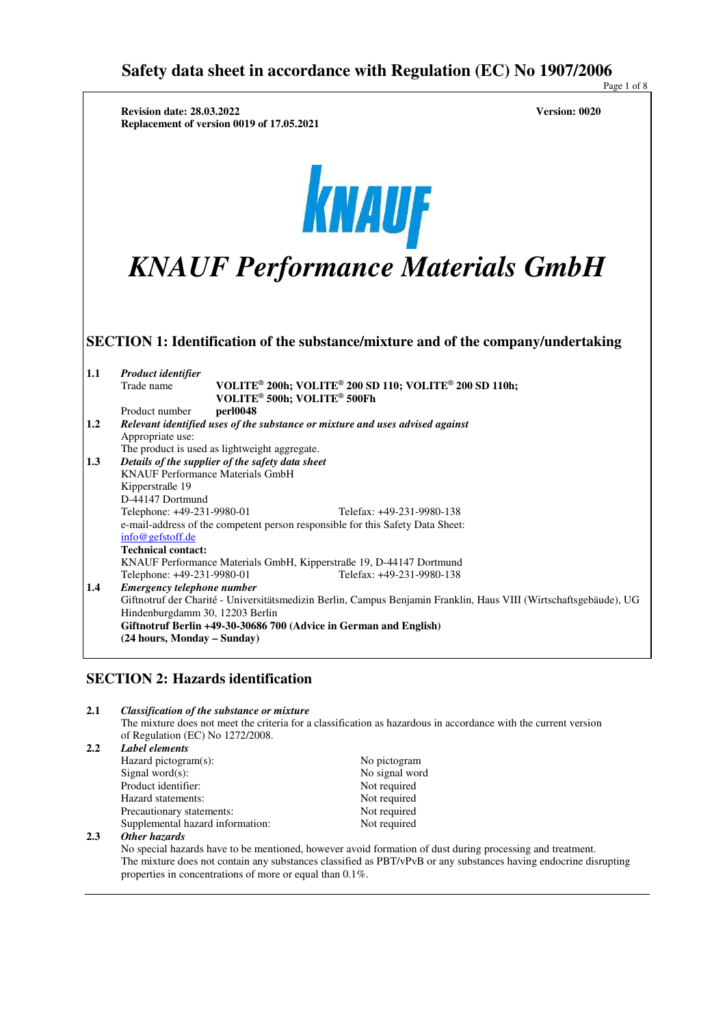|         | <b>Revision date: 28.03.2022</b><br>Replacement of version 0019 of 17.05.2021                                                                                                                                                                           | <b>Version: 0020</b> |
|---------|---------------------------------------------------------------------------------------------------------------------------------------------------------------------------------------------------------------------------------------------------------|----------------------|
|         | KNAUF<br><b>KNAUF Performance Materials GmbH</b>                                                                                                                                                                                                        |                      |
|         | SECTION 1: Identification of the substance/mixture and of the company/undertaking                                                                                                                                                                       |                      |
| $1.1\,$ | Product identifier<br>VOLITE <sup>®</sup> 200h; VOLITE <sup>®</sup> 200 SD 110; VOLITE <sup>®</sup> 200 SD 110h;<br>Trade name<br>VOLITE <sup>®</sup> 500h; VOLITE <sup>®</sup> 500Fh<br>Product number<br>per10048                                     |                      |
| 1.2     | Relevant identified uses of the substance or mixture and uses advised against<br>Appropriate use:<br>The product is used as lightweight aggregate.                                                                                                      |                      |
| 1.3     | Details of the supplier of the safety data sheet<br><b>KNAUF Performance Materials GmbH</b><br>Kipperstraße 19<br>D-44147 Dortmund                                                                                                                      |                      |
|         | Telefax: +49-231-9980-138<br>Telephone: +49-231-9980-01                                                                                                                                                                                                 |                      |
|         | e-mail-address of the competent person responsible for this Safety Data Sheet:<br>info@gefstoff.de                                                                                                                                                      |                      |
|         | <b>Technical contact:</b><br>KNAUF Performance Materials GmbH, Kipperstraße 19, D-44147 Dortmund<br>Telefax: +49-231-9980-138<br>Telephone: +49-231-9980-01                                                                                             |                      |
| 1.4     | Emergency telephone number<br>Giftnotruf der Charité - Universitätsmedizin Berlin, Campus Benjamin Franklin, Haus VIII (Wirtschaftsgebäude), UG<br>Hindenburgdamm 30, 12203 Berlin<br>Giftnotruf Berlin +49-30-30686 700 (Advice in German and English) |                      |

#### **2.1** *Classification of the substance or mixture*

 The mixture does not meet the criteria for a classification as hazardous in accordance with the current version of Regulation (EC) No 1272/2008.

#### **2.2** *Label elements*

| Hazard pictogram(s):             |  |
|----------------------------------|--|
| Signal word $(s)$ :              |  |
| Product identifier:              |  |
| Hazard statements:               |  |
| Precautionary statements:        |  |
| Supplemental hazard information: |  |

**2.3** *Other hazards*

 No special hazards have to be mentioned, however avoid formation of dust during processing and treatment. The mixture does not contain any substances classified as PBT/vPvB or any substances having endocrine disrupting properties in concentrations of more or equal than 0.1%.

No pictogram No signal word Not required Not required Not required Not required

Page 1 of 8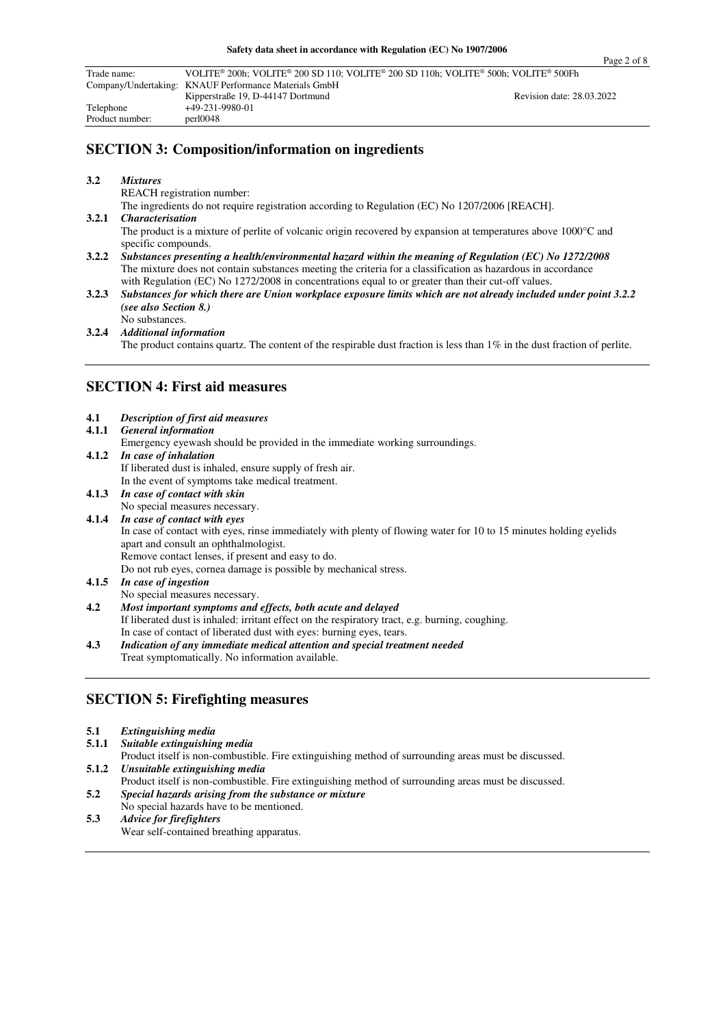| Trade name:     | VOLITE® 200h; VOLITE® 200 SD 110; VOLITE® 200 SD 110h; VOLITE® 500h; VOLITE® 500Fh |                           |  |
|-----------------|------------------------------------------------------------------------------------|---------------------------|--|
|                 | Company/Undertaking: KNAUF Performance Materials GmbH                              |                           |  |
|                 | Kipperstraße 19, D-44147 Dortmund                                                  | Revision date: 28.03.2022 |  |
| Telephone       | $+49-231-9980-01$                                                                  |                           |  |
| Product number: | per10048                                                                           |                           |  |

## **SECTION 3: Composition/information on ingredients**

#### **3.2** *Mixtures*

REACH registration number:

The ingredients do not require registration according to Regulation (EC) No 1207/2006 [REACH].<br>3.2.1 Characterisation

#### **3.2.1** *Characterisation* The product is a mixture of perlite of volcanic origin recovered by expansion at temperatures above 1000°C and specific compounds. **3.2.2** *Substances presenting a health/environmental hazard within the meaning of Regulation (EC) No 1272/2008*

- The mixture does not contain substances meeting the criteria for a classification as hazardous in accordance with Regulation (EC) No 1272/2008 in concentrations equal to or greater than their cut-off values.
- **3.2.3** *Substances for which there are Union workplace exposure limits which are not already included under point 3.2.2 (see also Section 8.)*

No substances.

**3.2.4** *Additional information* 

The product contains quartz. The content of the respirable dust fraction is less than 1% in the dust fraction of perlite.

## **SECTION 4: First aid measures**

| 4.1 | <b>Description of first aid measures</b>                                            |
|-----|-------------------------------------------------------------------------------------|
|     | 4.1.1 General information                                                           |
|     | Emergency eyewash should be provided in the immediate working surroundings.         |
|     | 4.1.2 In case of inhalation                                                         |
|     | If liberated dust is inhaled, ensure supply of fresh air.                           |
|     | In the event of symptoms take medical treatment.                                    |
|     | 4.1.3 In case of contact with skin                                                  |
|     | No special measures necessary.                                                      |
|     | 4.1.4 In case of contact with eyes                                                  |
|     | In case of contact with eyes, rinse immediately with plenty of flowing water for 10 |

#### to 15 minutes holding eyelids apart and consult an ophthalmologist. Remove contact lenses, if present and easy to do. Do not rub eyes, cornea damage is possible by mechanical stress.

- **4.1.5** *In case of ingestion*
- No special measures necessary. **4.2** *Most important symptoms and effects, both acute and delayed*  If liberated dust is inhaled: irritant effect on the respiratory tract, e.g. burning, coughing. In case of contact of liberated dust with eyes: burning eyes, tears.
- **4.3** *Indication of any immediate medical attention and special treatment needed*  Treat symptomatically. No information available.

### **SECTION 5: Firefighting measures**

#### **5.1** *Extinguishing media*

**5.1.1** *Suitable extinguishing media* 

 Product itself is non-combustible. Fire extinguishing method of surrounding areas must be discussed. **5.1.2** *Unsuitable extinguishing media* 

- Product itself is non-combustible. Fire extinguishing method of surrounding areas must be discussed.
- **5.2** *Special hazards arising from the substance or mixture*  No special hazards have to be mentioned.
- **5.3** *Advice for firefighters*  Wear self-contained breathing apparatus.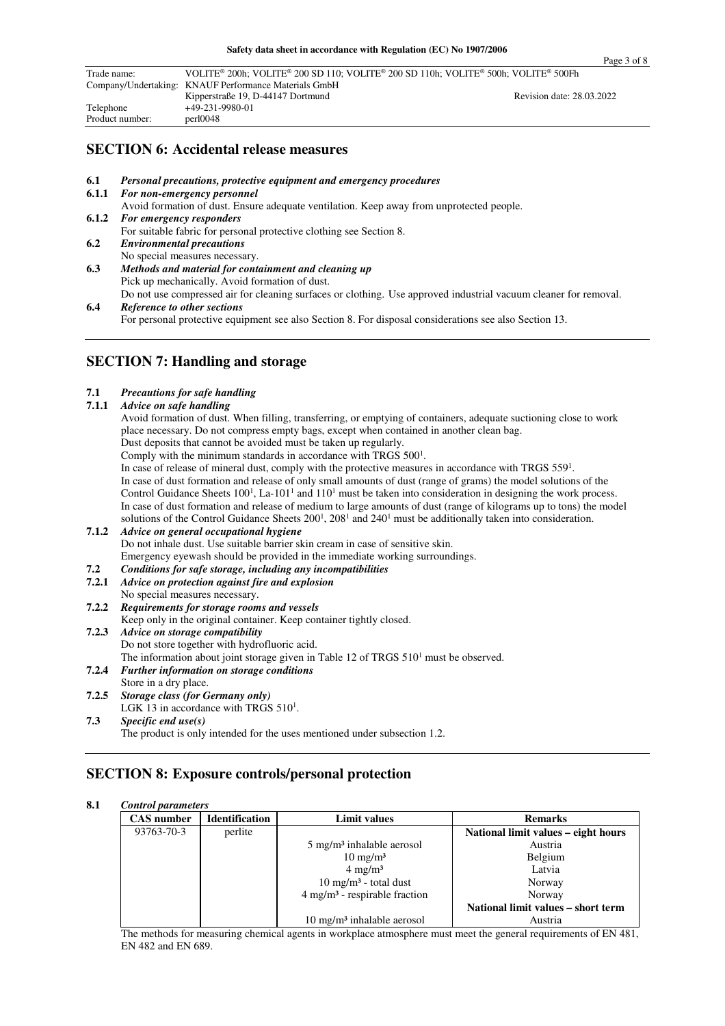| Trade name:                                           | VOLITE® 200h; VOLITE® 200 SD 110; VOLITE® 200 SD 110h; VOLITE® 500h; VOLITE® 500Fh |                           |
|-------------------------------------------------------|------------------------------------------------------------------------------------|---------------------------|
| Company/Undertaking: KNAUF Performance Materials GmbH |                                                                                    |                           |
|                                                       | Kipperstraße 19, D-44147 Dortmund                                                  | Revision date: 28.03.2022 |
| Telephone                                             | +49-231-9980-01                                                                    |                           |
| Product number:                                       | per10048                                                                           |                           |

## **SECTION 6: Accidental release measures**

- **6.1** *Personal precautions, protective equipment and emergency procedures*
- **6.1.1** *For non-emergency personnel*  Avoid formation of dust. Ensure adequate ventilation. Keep away from unprotected people. **6.1.2** *For emergency responders*  For suitable fabric for personal protective clothing see Section 8. **6.2** *Environmental precautions* No special measures necessary. **6.3** *Methods and material for containment and cleaning up*
- Pick up mechanically. Avoid formation of dust. Do not use compressed air for cleaning surfaces or clothing. Use approved industrial vacuum cleaner for removal.
- **6.4** *Reference to other sections*  For personal protective equipment see also Section 8. For disposal considerations see also Section 13.

## **SECTION 7: Handling and storage**

#### **7.1** *Precautions for safe handling*

**7.1.1** *Advice on safe handling*

Avoid formation of dust. When filling, transferring, or emptying of containers, adequate suctioning close to work place necessary. Do not compress empty bags, except when contained in another clean bag. Dust deposits that cannot be avoided must be taken up regularly. Comply with the minimum standards in accordance with TRGS 500<sup>1</sup>. In case of release of mineral dust, comply with the protective measures in accordance with TRGS 559<sup>1</sup>. In case of dust formation and release of only small amounts of dust (range of grams) the model solutions of the

Control Guidance Sheets  $100<sup>1</sup>$ , La- $101<sup>1</sup>$  and  $110<sup>1</sup>$  must be taken into consideration in designing the work process. In case of dust formation and release of medium to large amounts of dust (range of kilograms up to tons) the model solutions of the Control Guidance Sheets  $200<sup>1</sup>$ ,  $208<sup>1</sup>$  and  $240<sup>1</sup>$  must be additionally taken into consideration.

- **7.1.2** *Advice on general occupational hygiene* Do not inhale dust. Use suitable barrier skin cream in case of sensitive skin. Emergency eyewash should be provided in the immediate working surroundings.<br> **Example 1.2** Conditions for safe storage, including any incompatibilities
- **7.2** *Conditions for safe storage, including any incompatibilities*
- **7.2.1** *Advice on protection against fire and explosion*
- No special measures necessary.
- **7.2.2** *Requirements for storage rooms and vessels*

Keep only in the original container. Keep container tightly closed.

- **7.2.3** *Advice on storage compatibility* Do not store together with hydrofluoric acid. The information about joint storage given in Table 12 of TRGS  $510<sup>1</sup>$  must be observed. **7.2.4** *Further information on storage conditions* Store in a dry place.
- **7.2.5** *Storage class (for Germany only)* LGK 13 in accordance with TRGS  $510<sup>1</sup>$ .
- **7.3** *Specific end use(s)*  The product is only intended for the uses mentioned under subsection 1.2.

## **SECTION 8: Exposure controls/personal protection**

### **8.1** *Control parameters*

| <b>CAS</b> number | <b>Identification</b> | <b>Limit values</b>                         | <b>Remarks</b>                      |
|-------------------|-----------------------|---------------------------------------------|-------------------------------------|
| 93763-70-3        | perlite               |                                             | National limit values - eight hours |
|                   |                       | $5 \text{ mg/m}^3$ inhalable aerosol        | Austria                             |
|                   |                       | $10 \text{ mg/m}^3$                         | Belgium                             |
|                   |                       | $4 \text{ mg/m}^3$                          | Latvia                              |
|                   |                       | $10 \text{ mg/m}^3$ - total dust            | Norway                              |
|                   |                       | $4$ mg/m <sup>3</sup> - respirable fraction | Norway                              |
|                   |                       |                                             | National limit values – short term  |
|                   |                       | $10 \text{ mg/m}^3$ inhalable aerosol       | Austria                             |

The methods for measuring chemical agents in workplace atmosphere must meet the general requirements of EN 481, EN 482 and EN 689.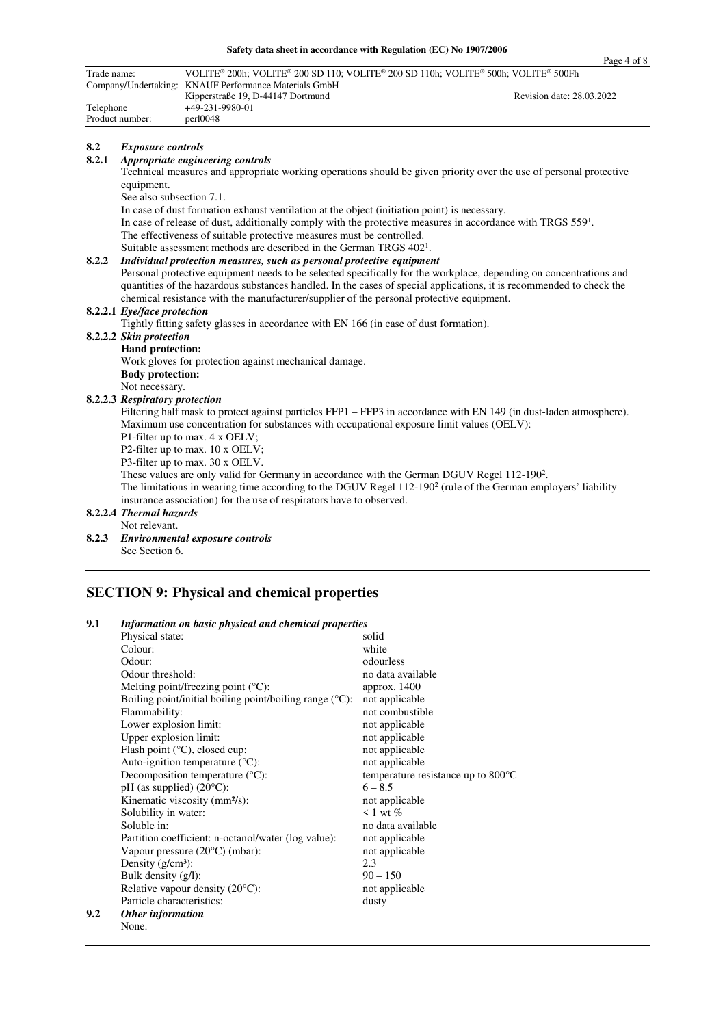| Trade name: |                                | VOLITE® 200h; VOLITE® 200 SD 110; VOLITE® 200 SD 110h; VOLITE® 500h; VOLITE® 500Fh<br>Company/Undertaking: KNAUF Performance Materials GmbH |                           |
|-------------|--------------------------------|---------------------------------------------------------------------------------------------------------------------------------------------|---------------------------|
| Telephone   |                                | Kipperstraße 19, D-44147 Dortmund<br>+49-231-9980-01                                                                                        | Revision date: 28.03.2022 |
|             | Product number:                | perl0048                                                                                                                                    |                           |
| 8.2         |                                |                                                                                                                                             |                           |
| 8.2.1       | <b>Exposure controls</b>       | Appropriate engineering controls                                                                                                            |                           |
|             | equipment.                     | Technical measures and appropriate working operations should be given priority over the use of personal protective                          |                           |
|             | See also subsection 7.1.       |                                                                                                                                             |                           |
|             |                                | In case of dust formation exhaust ventilation at the object (initiation point) is necessary.                                                |                           |
|             |                                | In case of release of dust, additionally comply with the protective measures in accordance with TRGS $5591$ .                               |                           |
|             |                                | The effectiveness of suitable protective measures must be controlled.                                                                       |                           |
|             |                                | Suitable assessment methods are described in the German TRGS 402 <sup>1</sup> .                                                             |                           |
| 8.2.2       |                                | Individual protection measures, such as personal protective equipment                                                                       |                           |
|             |                                | Personal protective equipment needs to be selected specifically for the workplace, depending on concentrations and                          |                           |
|             |                                | quantities of the hazardous substances handled. In the cases of special applications, it is recommended to check the                        |                           |
|             |                                | chemical resistance with the manufacturer/supplier of the personal protective equipment.                                                    |                           |
|             | 8.2.2.1 Eye/face protection    |                                                                                                                                             |                           |
|             |                                | Tightly fitting safety glasses in accordance with EN 166 (in case of dust formation).                                                       |                           |
|             | 8.2.2.2 Skin protection        |                                                                                                                                             |                           |
|             | Hand protection:               |                                                                                                                                             |                           |
|             |                                | Work gloves for protection against mechanical damage.                                                                                       |                           |
|             | <b>Body protection:</b>        |                                                                                                                                             |                           |
|             | Not necessary.                 |                                                                                                                                             |                           |
|             | 8.2.2.3 Respiratory protection | Filtering half mask to protect against particles FFP1 – FFP3 in accordance with EN 149 (in dust-laden atmosphere).                          |                           |
|             |                                | Maximum use concentration for substances with occupational exposure limit values (OELV):                                                    |                           |
|             |                                | P1-filter up to max. 4 x OELV;                                                                                                              |                           |
|             |                                | P2-filter up to max. 10 x OELV;                                                                                                             |                           |
|             |                                | P3-filter up to max. 30 x OELV.                                                                                                             |                           |
|             |                                | These values are only valid for Germany in accordance with the German DGUV Regel 112-190 <sup>2</sup> .                                     |                           |
|             |                                | The limitations in wearing time according to the DGUV Regel $112-1902$ (rule of the German employers' liability                             |                           |
|             |                                | insurance association) for the use of respirators have to observed.                                                                         |                           |
|             | 8.2.2.4 Thermal hazards        |                                                                                                                                             |                           |
|             | Not relevant.                  |                                                                                                                                             |                           |
| 8.2.3       |                                | Environmental exposure controls                                                                                                             |                           |
|             | See Section 6.                 |                                                                                                                                             |                           |

## **SECTION 9: Physical and chemical properties**

### **9.1** *Information on basic physical and chemical properties*

**9.2** *Other information* 

|     | Physical state:                                                     | solid                                        |
|-----|---------------------------------------------------------------------|----------------------------------------------|
|     | Colour:                                                             | white                                        |
|     | Odour:                                                              | odourless                                    |
|     | Odour threshold:                                                    | no data available                            |
|     | Melting point/freezing point $({}^{\circ}C)$ :                      | approx. 1400                                 |
|     | Boiling point/initial boiling point/boiling range $({}^{\circ}C)$ : | not applicable                               |
|     | Flammability:                                                       | not combustible                              |
|     | Lower explosion limit:                                              | not applicable                               |
|     | Upper explosion limit:                                              | not applicable                               |
|     | Flash point $({}^{\circ}C)$ , closed cup:                           | not applicable                               |
|     | Auto-ignition temperature $({}^{\circ}C)$ :                         | not applicable                               |
|     | Decomposition temperature $(^{\circ}C)$ :                           | temperature resistance up to $800^{\circ}$ C |
|     | $pH$ (as supplied) (20 $^{\circ}C$ ):                               | $6 - 8.5$                                    |
|     | Kinematic viscosity (mm <sup>2</sup> /s):                           | not applicable                               |
|     | Solubility in water:                                                | $\leq 1$ wt $\%$                             |
|     | Soluble in:                                                         | no data available                            |
|     | Partition coefficient: n-octanol/water (log value):                 | not applicable                               |
|     | Vapour pressure $(20^{\circ}C)$ (mbar):                             | not applicable                               |
|     | Density $(g/cm^3)$ :                                                | 2.3                                          |
|     | Bulk density $(g/l)$ :                                              | $90 - 150$                                   |
|     | Relative vapour density (20°C):                                     | not applicable                               |
|     | Particle characteristics:                                           | dusty                                        |
| 9.2 | Other information                                                   |                                              |
|     | None.                                                               |                                              |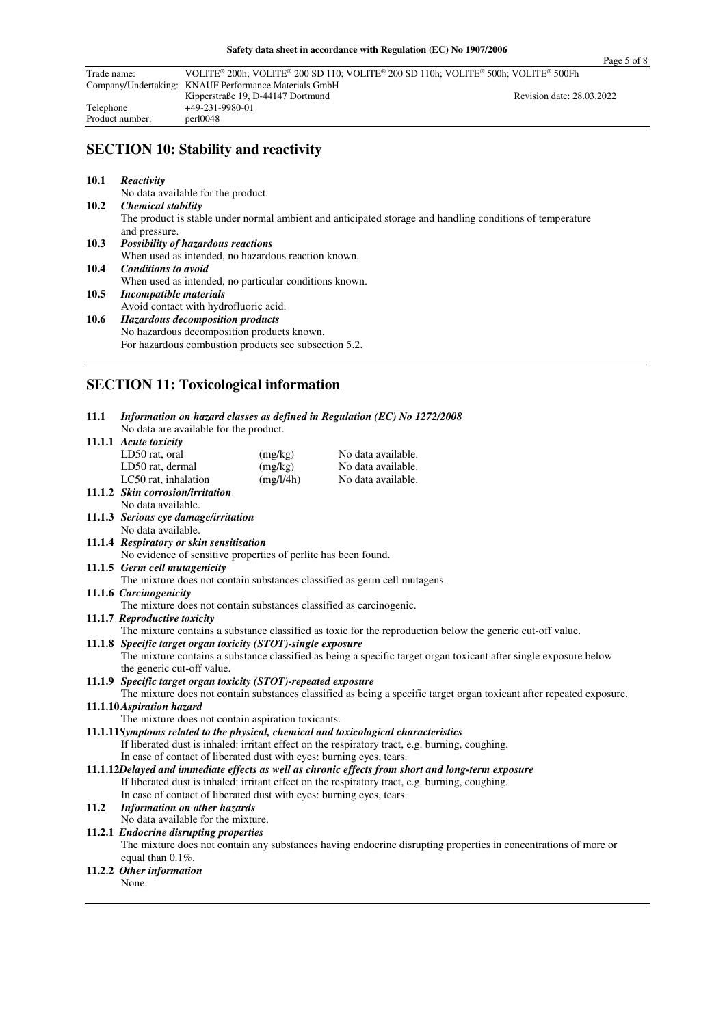| Trade name:                                           | VOLITE <sup>®</sup> 200h; VOLITE <sup>®</sup> 200 SD 110; VOLITE <sup>®</sup> 200 SD 110h; VOLITE <sup>®</sup> 500h; VOLITE <sup>®</sup> 500Fh |                           |
|-------------------------------------------------------|------------------------------------------------------------------------------------------------------------------------------------------------|---------------------------|
| Company/Undertaking: KNAUF Performance Materials GmbH |                                                                                                                                                |                           |
|                                                       | Kipperstraße 19, D-44147 Dortmund                                                                                                              | Revision date: 28.03.2022 |
| Telephone                                             | +49-231-9980-01                                                                                                                                |                           |
| Product number:                                       | per10048                                                                                                                                       |                           |

# **SECTION 10: Stability and reactivity**

| 10.1 | Reactivity                                                                                                                 |
|------|----------------------------------------------------------------------------------------------------------------------------|
|      | No data available for the product.                                                                                         |
| 10.2 | <b>Chemical stability</b>                                                                                                  |
|      | The product is stable under normal ambient and anticipated storage and handling conditions of temperature<br>and pressure. |
| 10.3 | <b>Possibility of hazardous reactions</b>                                                                                  |
|      | When used as intended, no hazardous reaction known.                                                                        |
| 10.4 | <b>Conditions to avoid</b>                                                                                                 |
|      | When used as intended, no particular conditions known.                                                                     |
| 10.5 | <i>Incompatible materials</i>                                                                                              |
|      | Avoid contact with hydrofluoric acid.                                                                                      |
| 10.6 | <b>Hazardous decomposition products</b>                                                                                    |
|      | No hazardous decomposition products known.                                                                                 |
|      | For hazardous combustion products see subsection 5.2.                                                                      |

<u> 1980 - Johann Barn, mars ann an t-Amhain Aonaich an t-Aonaich an t-Aonaich an t-Aonaich an t-Aonaich ann an t-</u>

# **SECTION 11: Toxicological information**

| 11.1 | Information on hazard classes as defined in Regulation (EC) No 1272/2008<br>No data are available for the product.    |           |                                                                                                                   |  |  |  |
|------|-----------------------------------------------------------------------------------------------------------------------|-----------|-------------------------------------------------------------------------------------------------------------------|--|--|--|
|      | 11.1.1 Acute toxicity                                                                                                 |           |                                                                                                                   |  |  |  |
|      | LD50 rat, oral                                                                                                        | (mg/kg)   | No data available.                                                                                                |  |  |  |
|      | LD50 rat, dermal                                                                                                      | (mg/kg)   | No data available.                                                                                                |  |  |  |
|      | LC50 rat, inhalation                                                                                                  | (mg/l/4h) | No data available.                                                                                                |  |  |  |
|      | 11.1.2 Skin corrosion/irritation                                                                                      |           |                                                                                                                   |  |  |  |
|      | No data available.                                                                                                    |           |                                                                                                                   |  |  |  |
|      | 11.1.3 Serious eye damage/irritation                                                                                  |           |                                                                                                                   |  |  |  |
|      | No data available.                                                                                                    |           |                                                                                                                   |  |  |  |
|      | 11.1.4 Respiratory or skin sensitisation                                                                              |           |                                                                                                                   |  |  |  |
|      | No evidence of sensitive properties of perlite has been found.                                                        |           |                                                                                                                   |  |  |  |
|      | 11.1.5 Germ cell mutagenicity                                                                                         |           |                                                                                                                   |  |  |  |
|      | The mixture does not contain substances classified as germ cell mutagens.                                             |           |                                                                                                                   |  |  |  |
|      | 11.1.6 Carcinogenicity                                                                                                |           |                                                                                                                   |  |  |  |
|      | The mixture does not contain substances classified as carcinogenic.                                                   |           |                                                                                                                   |  |  |  |
|      | 11.1.7 Reproductive toxicity                                                                                          |           |                                                                                                                   |  |  |  |
|      |                                                                                                                       |           | The mixture contains a substance classified as toxic for the reproduction below the generic cut-off value.        |  |  |  |
|      | 11.1.8 Specific target organ toxicity (STOT)-single exposure                                                          |           |                                                                                                                   |  |  |  |
|      |                                                                                                                       |           | The mixture contains a substance classified as being a specific target organ toxicant after single exposure below |  |  |  |
|      | the generic cut-off value.                                                                                            |           |                                                                                                                   |  |  |  |
|      | 11.1.9 Specific target organ toxicity (STOT)-repeated exposure                                                        |           |                                                                                                                   |  |  |  |
|      | The mixture does not contain substances classified as being a specific target organ toxicant after repeated exposure. |           |                                                                                                                   |  |  |  |
|      | 11.1.10 Aspiration hazard                                                                                             |           |                                                                                                                   |  |  |  |
|      | The mixture does not contain aspiration toxicants.                                                                    |           |                                                                                                                   |  |  |  |
|      | 11.1.11Symptoms related to the physical, chemical and toxicological characteristics                                   |           |                                                                                                                   |  |  |  |
|      |                                                                                                                       |           | If liberated dust is inhaled: irritant effect on the respiratory tract, e.g. burning, coughing.                   |  |  |  |
|      | In case of contact of liberated dust with eyes: burning eyes, tears.                                                  |           |                                                                                                                   |  |  |  |
|      | 11.1.12Delayed and immediate effects as well as chronic effects from short and long-term exposure                     |           |                                                                                                                   |  |  |  |
|      |                                                                                                                       |           | If liberated dust is inhaled: irritant effect on the respiratory tract, e.g. burning, coughing.                   |  |  |  |
|      | In case of contact of liberated dust with eyes: burning eyes, tears.                                                  |           |                                                                                                                   |  |  |  |
| 11.2 | <b>Information on other hazards</b>                                                                                   |           |                                                                                                                   |  |  |  |
|      | No data available for the mixture.                                                                                    |           |                                                                                                                   |  |  |  |
|      | 11.2.1 Endocrine disrupting properties                                                                                |           |                                                                                                                   |  |  |  |
|      |                                                                                                                       |           | The mixture does not contain any substances having endocrine disrupting properties in concentrations of more or   |  |  |  |
|      | equal than 0.1%.                                                                                                      |           |                                                                                                                   |  |  |  |
|      | 11.2.2 Other information                                                                                              |           |                                                                                                                   |  |  |  |
|      | None.                                                                                                                 |           |                                                                                                                   |  |  |  |
|      |                                                                                                                       |           |                                                                                                                   |  |  |  |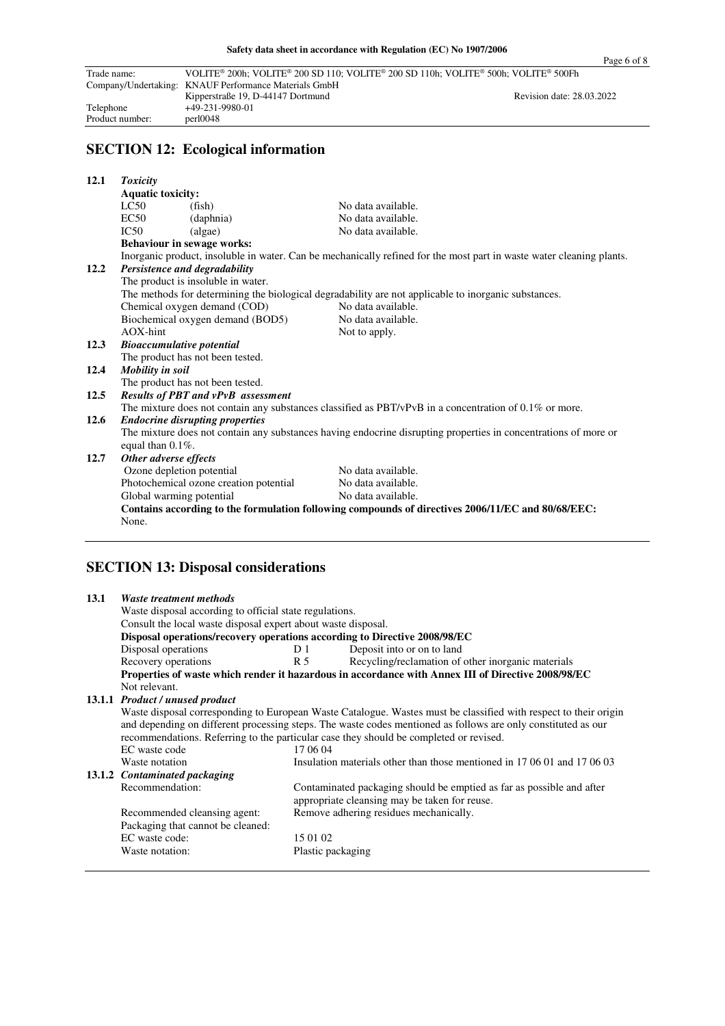| Trade name:     | VOLITE <sup>®</sup> 200h; VOLITE <sup>®</sup> 200 SD 110; VOLITE <sup>®</sup> 200 SD 110h; VOLITE <sup>®</sup> 500h; VOLITE <sup>®</sup> 500Fh |                           |
|-----------------|------------------------------------------------------------------------------------------------------------------------------------------------|---------------------------|
|                 | Company/Undertaking: KNAUF Performance Materials GmbH                                                                                          |                           |
|                 | Kipperstraße 19, D-44147 Dortmund                                                                                                              | Revision date: 28.03.2022 |
| Telephone       | +49-231-9980-01                                                                                                                                |                           |
| Product number: | per10048                                                                                                                                       |                           |

# **SECTION 12: Ecological information**

| 12.1 | <b>Toxicity</b>                                                                                                 |                                        |                                                                                                                      |  |  |
|------|-----------------------------------------------------------------------------------------------------------------|----------------------------------------|----------------------------------------------------------------------------------------------------------------------|--|--|
|      | <b>Aquatic toxicity:</b>                                                                                        |                                        |                                                                                                                      |  |  |
|      | LC50                                                                                                            | (fish)                                 | No data available.                                                                                                   |  |  |
|      | EC50                                                                                                            | (daphnia)                              | No data available.                                                                                                   |  |  |
|      | IC50                                                                                                            | (algae)                                | No data available.                                                                                                   |  |  |
|      |                                                                                                                 | <b>Behaviour in sewage works:</b>      |                                                                                                                      |  |  |
|      |                                                                                                                 |                                        | Inorganic product, insoluble in water. Can be mechanically refined for the most part in waste water cleaning plants. |  |  |
| 12.2 |                                                                                                                 | Persistence and degradability          |                                                                                                                      |  |  |
|      |                                                                                                                 | The product is insoluble in water.     |                                                                                                                      |  |  |
|      |                                                                                                                 |                                        | The methods for determining the biological degradability are not applicable to inorganic substances.                 |  |  |
|      |                                                                                                                 | Chemical oxygen demand (COD)           | No data available.                                                                                                   |  |  |
|      |                                                                                                                 | Biochemical oxygen demand (BOD5)       | No data available.                                                                                                   |  |  |
|      | $AOX$ -hint                                                                                                     |                                        | Not to apply.                                                                                                        |  |  |
| 12.3 | <b>Bioaccumulative potential</b>                                                                                |                                        |                                                                                                                      |  |  |
|      |                                                                                                                 | The product has not been tested.       |                                                                                                                      |  |  |
| 12.4 | Mobility in soil                                                                                                |                                        |                                                                                                                      |  |  |
|      |                                                                                                                 | The product has not been tested.       |                                                                                                                      |  |  |
| 12.5 | Results of PBT and vPvB assessment                                                                              |                                        |                                                                                                                      |  |  |
|      | The mixture does not contain any substances classified as $PBT/vPvB$ in a concentration of 0.1% or more.        |                                        |                                                                                                                      |  |  |
| 12.6 | <b>Endocrine disrupting properties</b>                                                                          |                                        |                                                                                                                      |  |  |
|      | The mixture does not contain any substances having endocrine disrupting properties in concentrations of more or |                                        |                                                                                                                      |  |  |
|      | equal than $0.1\%$ .                                                                                            |                                        |                                                                                                                      |  |  |
| 12.7 | Other adverse effects                                                                                           |                                        |                                                                                                                      |  |  |
|      | Ozone depletion potential                                                                                       |                                        | No data available.                                                                                                   |  |  |
|      |                                                                                                                 | Photochemical ozone creation potential | No data available.                                                                                                   |  |  |
|      | Global warming potential                                                                                        |                                        | No data available.                                                                                                   |  |  |
|      |                                                                                                                 |                                        |                                                                                                                      |  |  |
|      |                                                                                                                 |                                        | Contains according to the formulation following compounds of directives 2006/11/EC and 80/68/EEC:                    |  |  |
|      | None.                                                                                                           |                                        |                                                                                                                      |  |  |
|      |                                                                                                                 |                                        |                                                                                                                      |  |  |

## **SECTION 13: Disposal considerations**

| 13.1 | Waste treatment methods                                                                |                   |                                                                                                                  |  |
|------|----------------------------------------------------------------------------------------|-------------------|------------------------------------------------------------------------------------------------------------------|--|
|      | Waste disposal according to official state regulations.                                |                   |                                                                                                                  |  |
|      | Consult the local waste disposal expert about waste disposal.                          |                   |                                                                                                                  |  |
|      | Disposal operations/recovery operations according to Directive 2008/98/EC              |                   |                                                                                                                  |  |
|      | Disposal operations                                                                    | D1                | Deposit into or on to land                                                                                       |  |
|      | Recovery operations                                                                    | R 5               | Recycling/reclamation of other inorganic materials                                                               |  |
|      |                                                                                        |                   | Properties of waste which render it hazardous in accordance with Annex III of Directive 2008/98/EC               |  |
|      | Not relevant.                                                                          |                   |                                                                                                                  |  |
|      | 13.1.1 Product / unused product                                                        |                   |                                                                                                                  |  |
|      |                                                                                        |                   | Waste disposal corresponding to European Waste Catalogue. Wastes must be classified with respect to their origin |  |
|      |                                                                                        |                   | and depending on different processing steps. The waste codes mentioned as follows are only constituted as our    |  |
|      | recommendations. Referring to the particular case they should be completed or revised. |                   |                                                                                                                  |  |
|      | EC waste code                                                                          | 17 06 04          |                                                                                                                  |  |
|      | Waste notation                                                                         |                   | Insulation materials other than those mentioned in 17 06 01 and 17 06 03                                         |  |
|      | 13.1.2 Contaminated packaging                                                          |                   |                                                                                                                  |  |
|      | Recommendation:                                                                        |                   | Contaminated packaging should be emptied as far as possible and after                                            |  |
|      |                                                                                        |                   | appropriate cleansing may be taken for reuse.                                                                    |  |
|      | Recommended cleansing agent:                                                           |                   | Remove adhering residues mechanically.                                                                           |  |
|      | Packaging that cannot be cleaned:                                                      |                   |                                                                                                                  |  |
|      | EC waste code:                                                                         | 15 01 02          |                                                                                                                  |  |
|      | Waste notation:                                                                        | Plastic packaging |                                                                                                                  |  |
|      |                                                                                        |                   |                                                                                                                  |  |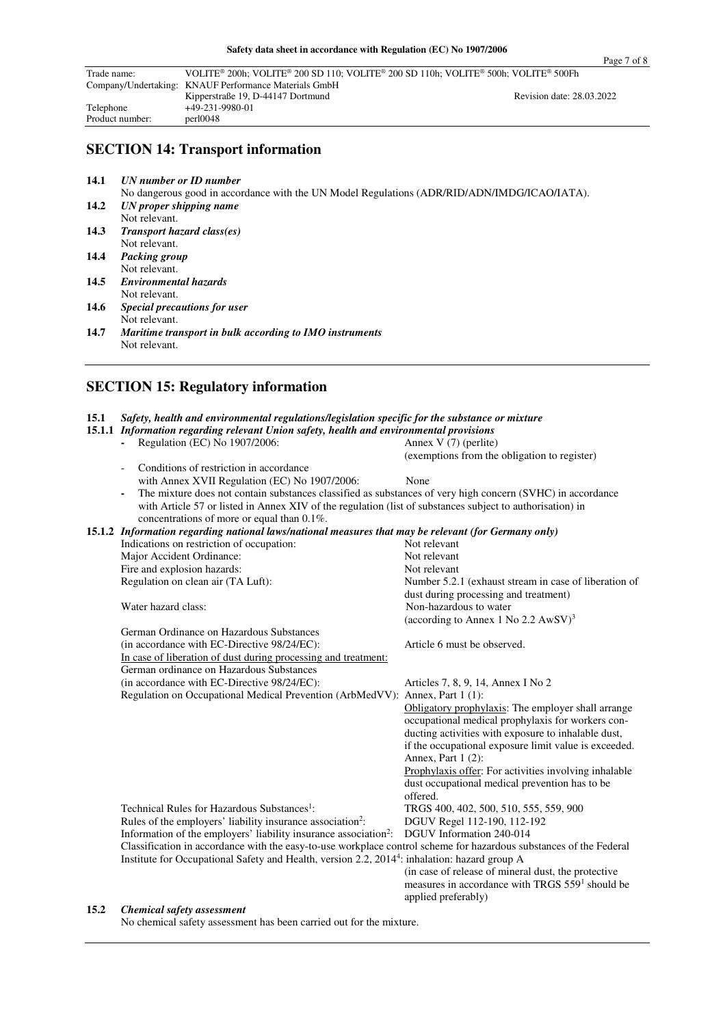| Расе І | വ |  |
|--------|---|--|
|        |   |  |

| Trade name:     | VOLITE® 200h: VOLITE® 200 SD 110: VOLITE® 200 SD 110h: VOLITE® 500h: VOLITE® 500Fh |                           |
|-----------------|------------------------------------------------------------------------------------|---------------------------|
|                 | Company/Undertaking: KNAUF Performance Materials GmbH                              |                           |
|                 | Kipperstraße 19, D-44147 Dortmund                                                  | Revision date: 28.03.2022 |
| Telephone       | +49-231-9980-01                                                                    |                           |
| Product number: | per10048                                                                           |                           |

## **SECTION 14: Transport information**

**14.1** *UN number or ID number* 

No dangerous good in accordance with the UN Model Regulations (ADR/RID/ADN/IMDG/ICAO/IATA).<br>14.2 *UN proper shipping name* **14.2** *UN proper shipping name* 

- Not relevant. **14.3** *Transport hazard class(es)*
- Not relevant. **14.4** *Packing group*
- Not relevant.<br>14.5 Environment
- **14.5** *Environmental hazards*  Not relevant.
- **14.6** *Special precautions for user*  Not relevant.<br>14.7 Maritime train
- **14.7** *Maritime transport in bulk according to IMO instruments*  Not relevant.

## **SECTION 15: Regulatory information**

|  | 15.1 Safety, health and environmental regulations/legislation specific for the substance or mixture |  |  |  |  |  |  |
|--|-----------------------------------------------------------------------------------------------------|--|--|--|--|--|--|
|--|-----------------------------------------------------------------------------------------------------|--|--|--|--|--|--|

| 15.1.1 Information regarding relevant Union safety, health and environmental provisions                                                                 |                                                             |  |  |
|---------------------------------------------------------------------------------------------------------------------------------------------------------|-------------------------------------------------------------|--|--|
| Regulation (EC) No 1907/2006:<br>$\sim$                                                                                                                 | Annex V (7) (perlite)                                       |  |  |
|                                                                                                                                                         | (exemptions from the obligation to register)                |  |  |
| Conditions of restriction in accordance                                                                                                                 |                                                             |  |  |
| with Annex XVII Regulation (EC) No 1907/2006:                                                                                                           | None                                                        |  |  |
| The mixture does not contain substances classified as substances of very high concern (SVHC) in accordance                                              |                                                             |  |  |
| with Article 57 or listed in Annex XIV of the regulation (list of substances subject to authorisation) in<br>concentrations of more or equal than 0.1%. |                                                             |  |  |
| 15.1.2 Information regarding national laws/national measures that may be relevant (for Germany only)                                                    |                                                             |  |  |
| Indications on restriction of occupation:                                                                                                               | Not relevant                                                |  |  |
| Major Accident Ordinance:                                                                                                                               | Not relevant                                                |  |  |
| Fire and explosion hazards:                                                                                                                             | Not relevant                                                |  |  |
| Regulation on clean air (TA Luft):                                                                                                                      | Number 5.2.1 (exhaust stream in case of liberation of       |  |  |
|                                                                                                                                                         | dust during processing and treatment)                       |  |  |
| Water hazard class:                                                                                                                                     | Non-hazardous to water                                      |  |  |
|                                                                                                                                                         | (according to Annex 1 No 2.2 $AWSV$ ) <sup>3</sup>          |  |  |
| German Ordinance on Hazardous Substances                                                                                                                |                                                             |  |  |
| (in accordance with EC-Directive 98/24/EC):                                                                                                             | Article 6 must be observed.                                 |  |  |
| In case of liberation of dust during processing and treatment:                                                                                          |                                                             |  |  |
| German ordinance on Hazardous Substances                                                                                                                |                                                             |  |  |
| (in accordance with EC-Directive 98/24/EC):                                                                                                             | Articles 7, 8, 9, 14, Annex I No 2                          |  |  |
| Regulation on Occupational Medical Prevention (ArbMedVV): Annex, Part 1 (1):                                                                            |                                                             |  |  |
|                                                                                                                                                         | Obligatory prophylaxis: The employer shall arrange          |  |  |
|                                                                                                                                                         | occupational medical prophylaxis for workers con-           |  |  |
|                                                                                                                                                         | ducting activities with exposure to inhalable dust,         |  |  |
|                                                                                                                                                         | if the occupational exposure limit value is exceeded.       |  |  |
|                                                                                                                                                         | Annex, Part 1 (2):                                          |  |  |
|                                                                                                                                                         | Prophylaxis offer: For activities involving inhalable       |  |  |
|                                                                                                                                                         | dust occupational medical prevention has to be              |  |  |
|                                                                                                                                                         | offered.                                                    |  |  |
| Technical Rules for Hazardous Substances <sup>1</sup> :                                                                                                 | TRGS 400, 402, 500, 510, 555, 559, 900                      |  |  |
| Rules of the employers' liability insurance association <sup>2</sup> :                                                                                  | DGUV Regel 112-190, 112-192                                 |  |  |
| Information of the employers' liability insurance association <sup>2</sup> :                                                                            | DGUV Information 240-014                                    |  |  |
| Classification in accordance with the easy-to-use workplace control scheme for hazardous substances of the Federal                                      |                                                             |  |  |
| Institute for Occupational Safety and Health, version 2.2, 2014 <sup>4</sup> : inhalation: hazard group A                                               |                                                             |  |  |
|                                                                                                                                                         | (in case of release of mineral dust, the protective         |  |  |
|                                                                                                                                                         | measures in accordance with TRGS 559 <sup>1</sup> should be |  |  |
|                                                                                                                                                         | applied preferably)                                         |  |  |

#### **15.2** *Chemical safety assessment*

No chemical safety assessment has been carried out for the mixture.